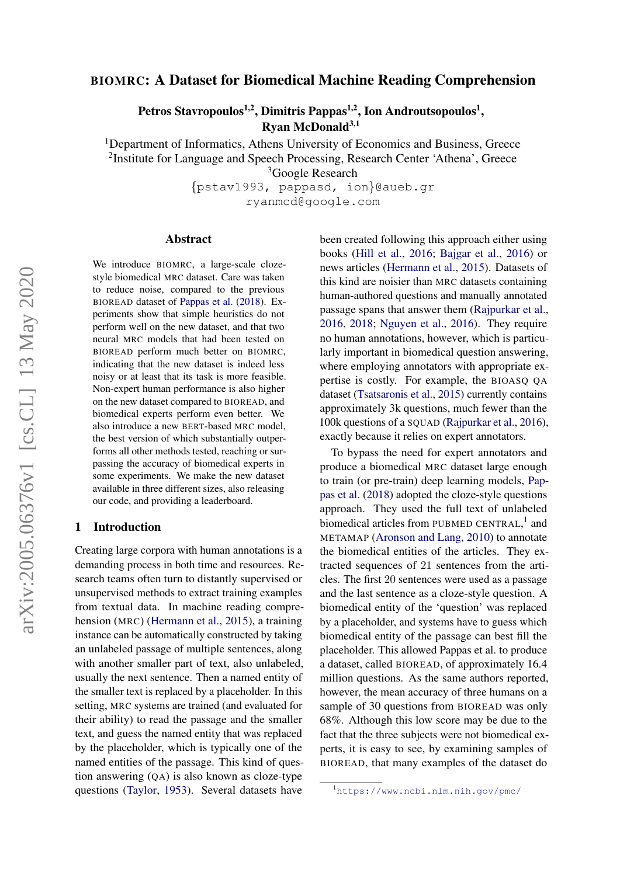# BIOMRC: A Dataset for Biomedical Machine Reading Comprehension

Petros Stavropoulos $^{1,2}$ , Dimitris Pappas $^{1,2}$ , Ion Androutsopoulos $^{1},$ Ryan McDonald $3,1$ 

<sup>1</sup>Department of Informatics, Athens University of Economics and Business, Greece

<sup>2</sup>Institute for Language and Speech Processing, Research Center 'Athena', Greece

<sup>3</sup>Google Research

{pstav1993, pappasd, ion}@aueb.gr ryanmcd@google.com

#### Abstract

We introduce BIOMRC, a large-scale clozestyle biomedical MRC dataset. Care was taken to reduce noise, compared to the previous BIOREAD dataset of [Pappas et al.](#page-9-0) [\(2018\)](#page-9-0). Experiments show that simple heuristics do not perform well on the new dataset, and that two neural MRC models that had been tested on BIOREAD perform much better on BIOMRC, indicating that the new dataset is indeed less noisy or at least that its task is more feasible. Non-expert human performance is also higher on the new dataset compared to BIOREAD, and biomedical experts perform even better. We also introduce a new BERT-based MRC model, the best version of which substantially outperforms all other methods tested, reaching or surpassing the accuracy of biomedical experts in some experiments. We make the new dataset available in three different sizes, also releasing our code, and providing a leaderboard.

### 1 Introduction

Creating large corpora with human annotations is a demanding process in both time and resources. Research teams often turn to distantly supervised or unsupervised methods to extract training examples from textual data. In machine reading comprehension (MRC) [\(Hermann et al.,](#page-8-0) [2015\)](#page-8-0), a training instance can be automatically constructed by taking an unlabeled passage of multiple sentences, along with another smaller part of text, also unlabeled, usually the next sentence. Then a named entity of the smaller text is replaced by a placeholder. In this setting, MRC systems are trained (and evaluated for their ability) to read the passage and the smaller text, and guess the named entity that was replaced by the placeholder, which is typically one of the named entities of the passage. This kind of question answering (QA) is also known as cloze-type questions [\(Taylor,](#page-9-1) [1953\)](#page-9-1). Several datasets have

been created following this approach either using books [\(Hill et al.,](#page-8-1) [2016;](#page-8-1) [Bajgar et al.,](#page-8-2) [2016\)](#page-8-2) or news articles [\(Hermann et al.,](#page-8-0) [2015\)](#page-8-0). Datasets of this kind are noisier than MRC datasets containing human-authored questions and manually annotated passage spans that answer them [\(Rajpurkar et al.,](#page-9-2) [2016,](#page-9-2) [2018;](#page-9-3) [Nguyen et al.,](#page-9-4) [2016\)](#page-9-4). They require no human annotations, however, which is particularly important in biomedical question answering, where employing annotators with appropriate expertise is costly. For example, the BIOASQ QA dataset [\(Tsatsaronis et al.,](#page-9-5) [2015\)](#page-9-5) currently contains approximately 3k questions, much fewer than the 100k questions of a SQUAD [\(Rajpurkar et al.,](#page-9-2) [2016\)](#page-9-2), exactly because it relies on expert annotators.

To bypass the need for expert annotators and produce a biomedical MRC dataset large enough to train (or pre-train) deep learning models, [Pap](#page-9-0)[pas et al.](#page-9-0) [\(2018\)](#page-9-0) adopted the cloze-style questions approach. They used the full text of unlabeled biomedical articles from PUBMED CENTRAL,<sup>[1](#page-0-0)</sup> and METAMAP [\(Aronson and Lang,](#page-8-3) [2010\)](#page-8-3) to annotate the biomedical entities of the articles. They extracted sequences of 21 sentences from the articles. The first 20 sentences were used as a passage and the last sentence as a cloze-style question. A biomedical entity of the 'question' was replaced by a placeholder, and systems have to guess which biomedical entity of the passage can best fill the placeholder. This allowed Pappas et al. to produce a dataset, called BIOREAD, of approximately 16.4 million questions. As the same authors reported, however, the mean accuracy of three humans on a sample of 30 questions from BIOREAD was only 68%. Although this low score may be due to the fact that the three subjects were not biomedical experts, it is easy to see, by examining samples of BIOREAD, that many examples of the dataset do

<span id="page-0-0"></span><sup>1</sup><https://www.ncbi.nlm.nih.gov/pmc/>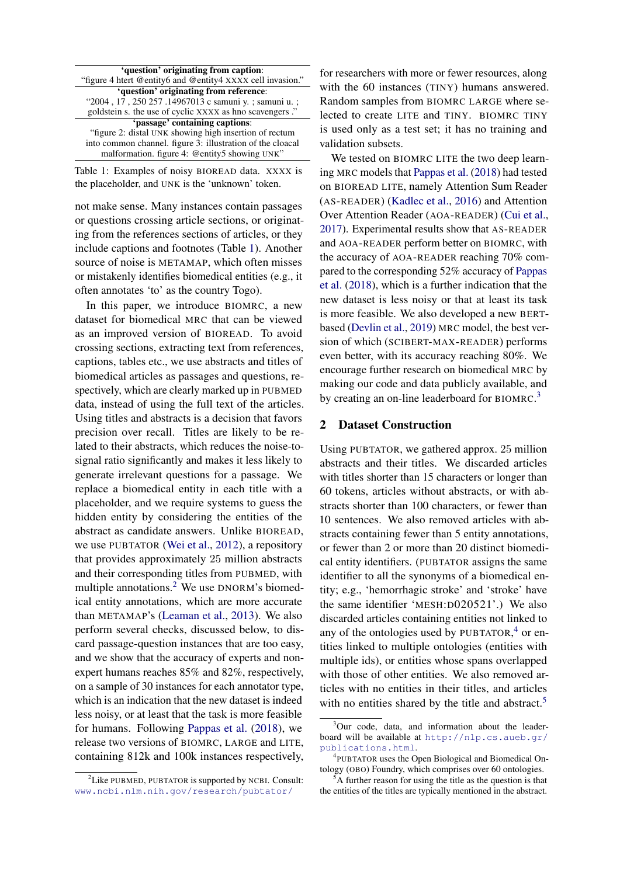<span id="page-1-0"></span>

| 'question' originating from caption:                       |  |  |  |  |  |
|------------------------------------------------------------|--|--|--|--|--|
| "figure 4 htert @entity6 and @entity4 XXXX cell invasion." |  |  |  |  |  |
| 'question' originating from reference:                     |  |  |  |  |  |
| "2004, 17, 250 257.14967013 c samuni y. ; samuni u. ;      |  |  |  |  |  |
| goldstein s. the use of cyclic XXXX as hno scavengers."    |  |  |  |  |  |
| 'passage' containing captions:                             |  |  |  |  |  |
| "figure 2: distal UNK showing high insertion of rectum     |  |  |  |  |  |
| into common channel. figure 3: illustration of the cloacal |  |  |  |  |  |
| malformation. figure 4: @entity5 showing UNK"              |  |  |  |  |  |
|                                                            |  |  |  |  |  |

Table 1: Examples of noisy BIOREAD data. XXXX is the placeholder, and UNK is the 'unknown' token.

not make sense. Many instances contain passages or questions crossing article sections, or originating from the references sections of articles, or they include captions and footnotes (Table [1\)](#page-1-0). Another source of noise is METAMAP, which often misses or mistakenly identifies biomedical entities (e.g., it often annotates 'to' as the country Togo).

In this paper, we introduce BIOMRC, a new dataset for biomedical MRC that can be viewed as an improved version of BIOREAD. To avoid crossing sections, extracting text from references, captions, tables etc., we use abstracts and titles of biomedical articles as passages and questions, respectively, which are clearly marked up in PUBMED data, instead of using the full text of the articles. Using titles and abstracts is a decision that favors precision over recall. Titles are likely to be related to their abstracts, which reduces the noise-tosignal ratio significantly and makes it less likely to generate irrelevant questions for a passage. We replace a biomedical entity in each title with a placeholder, and we require systems to guess the hidden entity by considering the entities of the abstract as candidate answers. Unlike BIOREAD, we use PUBTATOR [\(Wei et al.,](#page-9-6) [2012\)](#page-9-6), a repository that provides approximately 25 million abstracts and their corresponding titles from PUBMED, with multiple annotations.<sup>[2](#page-1-1)</sup> We use DNORM's biomedical entity annotations, which are more accurate than METAMAP's [\(Leaman et al.,](#page-9-7) [2013\)](#page-9-7). We also perform several checks, discussed below, to discard passage-question instances that are too easy, and we show that the accuracy of experts and nonexpert humans reaches 85% and 82%, respectively, on a sample of 30 instances for each annotator type, which is an indication that the new dataset is indeed less noisy, or at least that the task is more feasible for humans. Following [Pappas et al.](#page-9-0) [\(2018\)](#page-9-0), we release two versions of BIOMRC, LARGE and LITE, containing 812k and 100k instances respectively,

<span id="page-1-1"></span><sup>2</sup>Like PUBMED, PUBTATOR is supported by NCBI. Consult: <www.ncbi.nlm.nih.gov/research/pubtator/>

for researchers with more or fewer resources, along with the 60 instances (TINY) humans answered. Random samples from BIOMRC LARGE where selected to create LITE and TINY. BIOMRC TINY is used only as a test set; it has no training and validation subsets.

We tested on BIOMRC LITE the two deep learning MRC models that [Pappas et al.](#page-9-0) [\(2018\)](#page-9-0) had tested on BIOREAD LITE, namely Attention Sum Reader (AS-READER) [\(Kadlec et al.,](#page-8-4) [2016\)](#page-8-4) and Attention Over Attention Reader (AOA-READER) [\(Cui et al.,](#page-8-5) [2017\)](#page-8-5). Experimental results show that AS-READER and AOA-READER perform better on BIOMRC, with the accuracy of AOA-READER reaching 70% compared to the corresponding 52% accuracy of [Pappas](#page-9-0) [et al.](#page-9-0) [\(2018\)](#page-9-0), which is a further indication that the new dataset is less noisy or that at least its task is more feasible. We also developed a new BERTbased [\(Devlin et al.,](#page-8-6) [2019\)](#page-8-6) MRC model, the best version of which (SCIBERT-MAX-READER) performs even better, with its accuracy reaching 80%. We encourage further research on biomedical MRC by making our code and data publicly available, and by creating an on-line leaderboard for BIOMRC.<sup>[3](#page-1-2)</sup>

#### 2 Dataset Construction

Using PUBTATOR, we gathered approx. 25 million abstracts and their titles. We discarded articles with titles shorter than 15 characters or longer than 60 tokens, articles without abstracts, or with abstracts shorter than 100 characters, or fewer than 10 sentences. We also removed articles with abstracts containing fewer than 5 entity annotations, or fewer than 2 or more than 20 distinct biomedical entity identifiers. (PUBTATOR assigns the same identifier to all the synonyms of a biomedical entity; e.g., 'hemorrhagic stroke' and 'stroke' have the same identifier 'MESH:D020521'.) We also discarded articles containing entities not linked to any of the ontologies used by PUBTATOR, [4](#page-1-3) or entities linked to multiple ontologies (entities with multiple ids), or entities whose spans overlapped with those of other entities. We also removed articles with no entities in their titles, and articles with no entities shared by the title and abstract.<sup>[5](#page-1-4)</sup>

<span id="page-1-2"></span><sup>&</sup>lt;sup>3</sup>Our code, data, and information about the leaderboard will be available at [http://nlp.cs.aueb.gr/](http://nlp.cs.aueb.gr/publications.html) [publications.html](http://nlp.cs.aueb.gr/publications.html).

<span id="page-1-3"></span><sup>4</sup> PUBTATOR uses the Open Biological and Biomedical Ontology (OBO) Foundry, which comprises over 60 ontologies.

<span id="page-1-4"></span>A further reason for using the title as the question is that the entities of the titles are typically mentioned in the abstract.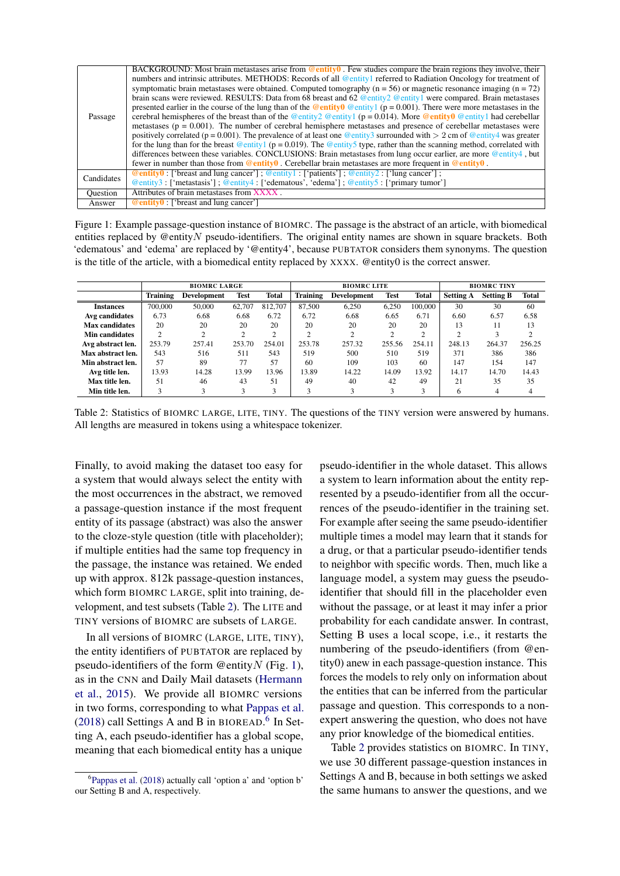<span id="page-2-1"></span>

|            | BACKGROUND: Most brain metastases arise from $\omega$ entity $\theta$ . Few studies compare the brain regions they involve, their      |
|------------|----------------------------------------------------------------------------------------------------------------------------------------|
|            | numbers and intrinsic attributes. METHODS: Records of all @entity1 referred to Radiation Oncology for treatment of                     |
|            | symptomatic brain metastases were obtained. Computed tomography $(n = 56)$ or magnetic resonance imaging $(n = 72)$                    |
|            | brain scans were reviewed. RESULTS: Data from 68 breast and 62 @entity2 @entity1 were compared. Brain metastases                       |
|            | presented earlier in the course of the lung than of the @entity0 @entity1 ( $p = 0.001$ ). There were more metastases in the           |
| Passage    | cerebral hemispheres of the breast than of the @entity2 @entity1 ( $p = 0.014$ ). More @entity0 @entity1 had cerebellar                |
|            | metastases ( $p = 0.001$ ). The number of cerebral hemisphere metastases and presence of cerebellar metastases were                    |
|            | positively correlated ( $p = 0.001$ ). The prevalence of at least one @entity3 surrounded with $> 2$ cm of @entity4 was greater        |
|            | for the lung than for the breast @entity1 ( $p = 0.019$ ). The @entity5 type, rather than the scanning method, correlated with         |
|            | differences between these variables. CONCLUSIONS: Brain metastases from lung occur earlier, are more @entity4, but                     |
|            | fewer in number than those from $\omega$ entity $\theta$ . Cerebellar brain metastases are more frequent in $\omega$ entity $\theta$ . |
| Candidates | <b>@entity0</b> : ['breast and lung cancer']; <u>@entity1</u> : ['patients']; @entity2: ['lung cancer'];                               |
|            | @entity3: ['metastasis']; @entity4: ['edematous', 'edema']; @entity5: ['primary tumor']                                                |
| Ouestion   | Attributes of brain metastases from XXXX.                                                                                              |
| Answer     | $@$ entity $0$ : ['breast and lung cancer']                                                                                            |

Figure 1: Example passage-question instance of BIOMRC. The passage is the abstract of an article, with biomedical entities replaced by @entityN pseudo-identifiers. The original entity names are shown in square brackets. Both 'edematous' and 'edema' are replaced by '@entity4', because PUBTATOR considers them synonyms. The question is the title of the article, with a biomedical entity replaced by XXXX. @entity0 is the correct answer.

<span id="page-2-0"></span>

|                   |                 | <b>BIOMRC LARGE</b> |                | <b>BIOMRC LITE</b> |                                 |             |                | <b>BIOMRC TINY</b> |                  |                  |              |
|-------------------|-----------------|---------------------|----------------|--------------------|---------------------------------|-------------|----------------|--------------------|------------------|------------------|--------------|
|                   | <b>Training</b> | Development         | <b>Test</b>    | <b>Total</b>       | <b>Training</b>                 | Development | <b>Test</b>    | <b>Total</b>       | <b>Setting A</b> | <b>Setting B</b> | <b>Total</b> |
| <b>Instances</b>  | 700,000         | 50,000              | 62,707         | 812,707            | 87,500                          | 6,250       | 6,250          | 100,000            | 30               | 30               | 60           |
| Avg candidates    | 6.73            | 6.68                | 6.68           | 6.72               | 6.72                            | 6.68        | 6.65           | 6.71               | 6.60             | 6.57             | 6.58         |
| Max candidates    | 20              | 20                  | 20             | 20                 | 20                              | 20          | 20             | 20                 | 13               | 11               | 13           |
| Min candidates    | 2               | 2                   | $\overline{c}$ | $\bigcap$          | <sup><math>\supset</math></sup> | 2           | $\overline{c}$ | $\bigcirc$         | $\sim$           | 3                | ∍            |
| Avg abstract len. | 253.79          | 257.41              | 253.70         | 254.01             | 253.78                          | 257.32      | 255.56         | 254.11             | 248.13           | 264.37           | 256.25       |
| Max abstract len. | 543             | 516                 | 511            | 543                | 519                             | 500         | 510            | 519                | 371              | 386              | 386          |
| Min abstract len. | 57              | 89                  | 77             | 57                 | 60                              | 109         | 103            | 60                 | 147              | 154              | 147          |
| Avg title len.    | 13.93           | 14.28               | 13.99          | 13.96              | 13.89                           | 14.22       | 14.09          | 13.92              | 14.17            | 14.70            | 14.43        |
| Max title len.    | 51              | 46                  | 43             | 51                 | 49                              | 40          | 42             | 49                 | 21               | 35               | 35           |
| Min title len.    | 3               | 3                   | 3              | 3                  | 3                               | 3           | 3              | 3                  | h                | 4                | 4            |

Table 2: Statistics of BIOMRC LARGE, LITE, TINY. The questions of the TINY version were answered by humans. All lengths are measured in tokens using a whitespace tokenizer.

Finally, to avoid making the dataset too easy for a system that would always select the entity with the most occurrences in the abstract, we removed a passage-question instance if the most frequent entity of its passage (abstract) was also the answer to the cloze-style question (title with placeholder); if multiple entities had the same top frequency in the passage, the instance was retained. We ended up with approx. 812k passage-question instances, which form BIOMRC LARGE, split into training, development, and test subsets (Table [2\)](#page-2-0). The LITE and TINY versions of BIOMRC are subsets of LARGE.

In all versions of BIOMRC (LARGE, LITE, TINY), the entity identifiers of PUBTATOR are replaced by pseudo-identifiers of the form  $@$  entity  $N$  (Fig. [1\)](#page-2-1), as in the CNN and Daily Mail datasets [\(Hermann](#page-8-0) [et al.,](#page-8-0) [2015\)](#page-8-0). We provide all BIOMRC versions in two forms, corresponding to what [Pappas et al.](#page-9-0) [\(2018\)](#page-9-0) call Settings A and B in BIOREAD.<sup>[6](#page-2-2)</sup> In Setting A, each pseudo-identifier has a global scope, meaning that each biomedical entity has a unique

pseudo-identifier in the whole dataset. This allows a system to learn information about the entity represented by a pseudo-identifier from all the occurrences of the pseudo-identifier in the training set. For example after seeing the same pseudo-identifier multiple times a model may learn that it stands for a drug, or that a particular pseudo-identifier tends to neighbor with specific words. Then, much like a language model, a system may guess the pseudoidentifier that should fill in the placeholder even without the passage, or at least it may infer a prior probability for each candidate answer. In contrast, Setting B uses a local scope, i.e., it restarts the numbering of the pseudo-identifiers (from @entity0) anew in each passage-question instance. This forces the models to rely only on information about the entities that can be inferred from the particular passage and question. This corresponds to a nonexpert answering the question, who does not have any prior knowledge of the biomedical entities.

Table [2](#page-2-0) provides statistics on BIOMRC. In TINY, we use 30 different passage-question instances in Settings A and B, because in both settings we asked the same humans to answer the questions, and we

<span id="page-2-2"></span><sup>6</sup> [Pappas et al.](#page-9-0) [\(2018\)](#page-9-0) actually call 'option a' and 'option b' our Setting B and A, respectively.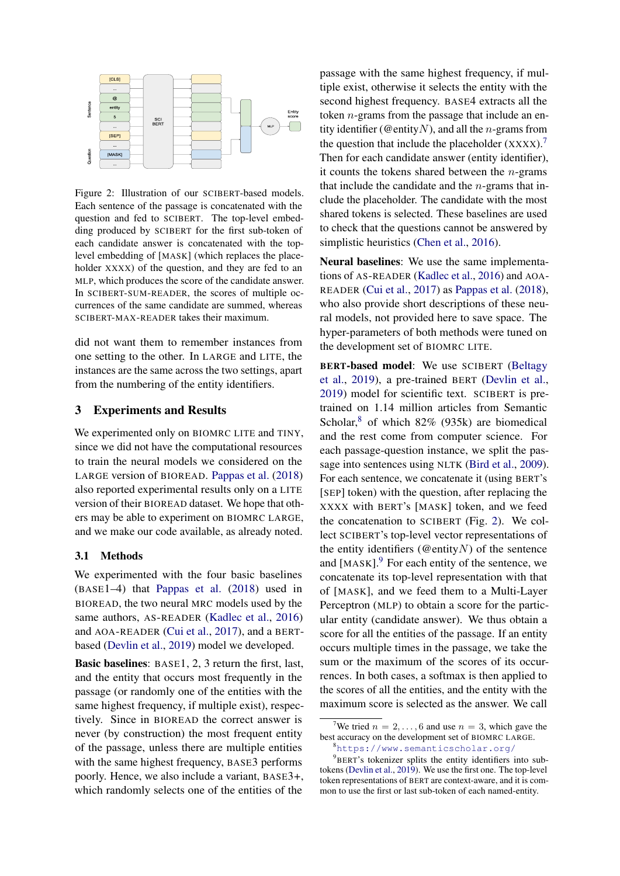<span id="page-3-2"></span>

Figure 2: Illustration of our SCIBERT-based models. Each sentence of the passage is concatenated with the question and fed to SCIBERT. The top-level embedding produced by SCIBERT for the first sub-token of each candidate answer is concatenated with the toplevel embedding of [MASK] (which replaces the placeholder XXXX) of the question, and they are fed to an MLP, which produces the score of the candidate answer. In SCIBERT-SUM-READER, the scores of multiple occurrences of the same candidate are summed, whereas SCIBERT-MAX-READER takes their maximum.

did not want them to remember instances from one setting to the other. In LARGE and LITE, the instances are the same across the two settings, apart from the numbering of the entity identifiers.

### 3 Experiments and Results

We experimented only on BIOMRC LITE and TINY, since we did not have the computational resources to train the neural models we considered on the LARGE version of BIOREAD. [Pappas et al.](#page-9-0) [\(2018\)](#page-9-0) also reported experimental results only on a LITE version of their BIOREAD dataset. We hope that others may be able to experiment on BIOMRC LARGE, and we make our code available, as already noted.

### 3.1 Methods

We experimented with the four basic baselines (BASE1–4) that [Pappas et al.](#page-9-0) [\(2018\)](#page-9-0) used in BIOREAD, the two neural MRC models used by the same authors, AS-READER [\(Kadlec et al.,](#page-8-4) [2016\)](#page-8-4) and AOA-READER [\(Cui et al.,](#page-8-5) [2017\)](#page-8-5), and a BERTbased [\(Devlin et al.,](#page-8-6) [2019\)](#page-8-6) model we developed.

Basic baselines: BASE1, 2, 3 return the first, last, and the entity that occurs most frequently in the passage (or randomly one of the entities with the same highest frequency, if multiple exist), respectively. Since in BIOREAD the correct answer is never (by construction) the most frequent entity of the passage, unless there are multiple entities with the same highest frequency, BASE3 performs poorly. Hence, we also include a variant, BASE3+, which randomly selects one of the entities of the

passage with the same highest frequency, if multiple exist, otherwise it selects the entity with the second highest frequency. BASE4 extracts all the token  $n$ -grams from the passage that include an entity identifier (@entityN), and all the *n*-grams from the question that include the placeholder  $(XXXX)^7$  $(XXXX)^7$ . Then for each candidate answer (entity identifier), it counts the tokens shared between the  $n$ -grams that include the candidate and the  $n$ -grams that include the placeholder. The candidate with the most shared tokens is selected. These baselines are used to check that the questions cannot be answered by simplistic heuristics [\(Chen et al.,](#page-8-7) [2016\)](#page-8-7).

Neural baselines: We use the same implementations of AS-READER [\(Kadlec et al.,](#page-8-4) [2016\)](#page-8-4) and AOA-READER [\(Cui et al.,](#page-8-5) [2017\)](#page-8-5) as [Pappas et al.](#page-9-0) [\(2018\)](#page-9-0), who also provide short descriptions of these neural models, not provided here to save space. The hyper-parameters of both methods were tuned on the development set of BIOMRC LITE.

BERT-based model: We use SCIBERT [\(Beltagy](#page-8-8) [et al.,](#page-8-8) [2019\)](#page-8-8), a pre-trained BERT [\(Devlin et al.,](#page-8-6) [2019\)](#page-8-6) model for scientific text. SCIBERT is pretrained on 1.14 million articles from Semantic Scholar, $8$  of which 82% (935k) are biomedical and the rest come from computer science. For each passage-question instance, we split the passage into sentences using NLTK [\(Bird et al.,](#page-8-9) [2009\)](#page-8-9). For each sentence, we concatenate it (using BERT's [SEP] token) with the question, after replacing the XXXX with BERT's [MASK] token, and we feed the concatenation to SCIBERT (Fig. [2\)](#page-3-2). We collect SCIBERT's top-level vector representations of the entity identifiers ( $@$ entity $N$ ) of the sentence and  $[MASK]$ <sup>[9](#page-3-3)</sup>. For each entity of the sentence, we concatenate its top-level representation with that of [MASK], and we feed them to a Multi-Layer Perceptron (MLP) to obtain a score for the particular entity (candidate answer). We thus obtain a score for all the entities of the passage. If an entity occurs multiple times in the passage, we take the sum or the maximum of the scores of its occurrences. In both cases, a softmax is then applied to the scores of all the entities, and the entity with the maximum score is selected as the answer. We call

<span id="page-3-3"></span><span id="page-3-1"></span><sup>8</sup><https://www.semanticscholar.org/>

<span id="page-3-0"></span>We tried  $n = 2, \ldots, 6$  and use  $n = 3$ , which gave the best accuracy on the development set of BIOMRC LARGE.

<sup>&</sup>lt;sup>9</sup>BERT's tokenizer splits the entity identifiers into subtokens [\(Devlin et al.,](#page-8-6) [2019\)](#page-8-6). We use the first one. The top-level token representations of BERT are context-aware, and it is common to use the first or last sub-token of each named-entity.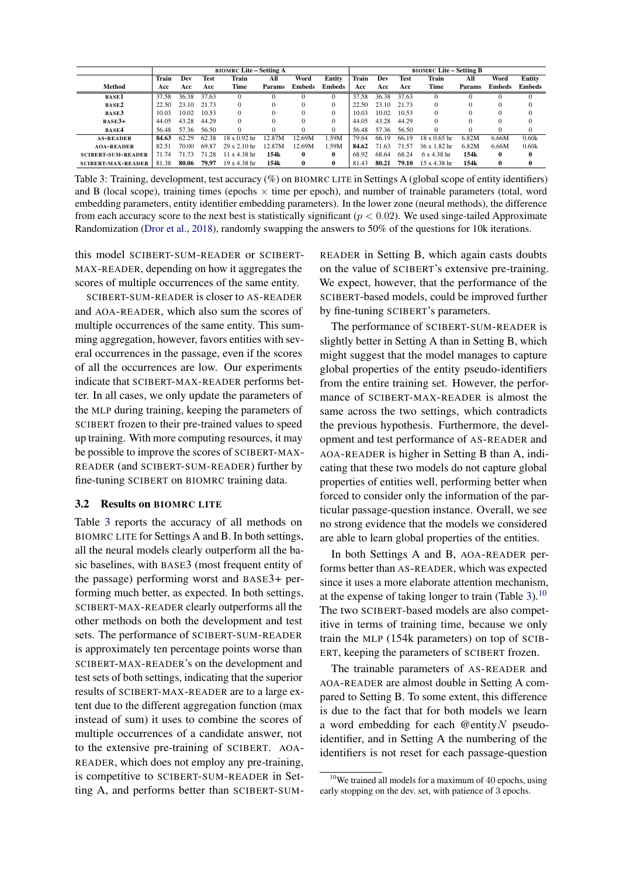<span id="page-4-0"></span>

|                           |       |       |             | <b>BIOMRC Lite - Setting A</b> |        |               |               | <b>BIOMRC Lite – Setting B</b> |       |             |                     |        |               |               |
|---------------------------|-------|-------|-------------|--------------------------------|--------|---------------|---------------|--------------------------------|-------|-------------|---------------------|--------|---------------|---------------|
|                           | Train | Dev   | <b>Test</b> | Train                          | All    | Word          | Entity        | Train                          | Dev   | <b>Test</b> | Train               | All    | Word          | Entity        |
| Method                    | Acc   | Acc   | Acc         | Time                           | Params | <b>Embeds</b> | <b>Embeds</b> | Acc                            | Acc   | Acc         | Time                | Params | <b>Embeds</b> | <b>Embeds</b> |
| <b>BASE1</b>              | 37.58 | 36.38 | 37.63       |                                |        |               |               | 37.58                          | 36.38 | 37.63       |                     |        |               |               |
| <b>BASE2</b>              | 22.50 | 23.10 | 21.73       | $\Omega$                       |        | $\Omega$      |               | 22.50                          | 23.10 | 21.73       | $\Omega$            |        |               |               |
| <b>BASE3</b>              | 10.03 | 10.02 | 10.53       | $\Omega$                       |        | $\Omega$      |               | 10.03                          | 10.02 | 10.53       | $\Omega$            |        |               |               |
| $BASE3+$                  | 44.05 | 43.28 | 44.29       | $\Omega$                       |        | $\Omega$      |               | 44.05                          | 43.28 | 44.29       | $\Omega$            |        |               |               |
| <b>BASE4</b>              | 56.48 | 57.36 | 56.50       | $\Omega$                       |        | $\Omega$      | $\Omega$      | 56.48                          | 57.36 | 56.50       | $\Omega$            |        |               | 0             |
| <b>AS-READER</b>          | 84.63 | 62.29 | 62.38       | $18 \times 0.92$ hr            | 12.87M | 12.69M        | 1.59M         | 79.64                          | 66.19 | 66.19       | $18 \times 0.65$ hr | 6.82M  | 6.66M         | 0.60k         |
| <b>AOA-READER</b>         | 82.51 | 70.00 | 69.87       | $29 \times 2.10$ hr            | 12.87M | 12.69M        | 1.59M         | 84.62                          | 71.63 | 71.57       | $36 \times 1.82$ hr | 6.82M  | 6.66M         | 0.60k         |
| <b>SCIBERT-SUM-READER</b> | 71.74 | 71.73 | 71.28       | $11 \times 4.38$ hr            | 154k   | 0             | $\bf{0}$      | 68.92                          | 68.64 | 68.24       | $6x$ 4.38 hr        | 154k   | 0             | $\bf{0}$      |
| <b>SCIBERT-MAX-READER</b> | 81.38 | 80.06 | 79.97       | $19 \times 4.38$ hr            | 154k   | $\bf{0}$      | $\bf{0}$      | 81.43                          | 80.21 | 79.10       | 15 x 4.38 hr        | 154k   | $\mathbf{0}$  | $\mathbf 0$   |

Table 3: Training, development, test accuracy (%) on BIOMRC LITE in Settings A (global scope of entity identifiers) and B (local scope), training times (epochs  $\times$  time per epoch), and number of trainable parameters (total, word embedding parameters, entity identifier embedding parameters). In the lower zone (neural methods), the difference from each accuracy score to the next best is statistically significant ( $p < 0.02$ ). We used singe-tailed Approximate Randomization [\(Dror et al.,](#page-8-10) [2018\)](#page-8-10), randomly swapping the answers to 50% of the questions for 10k iterations.

this model SCIBERT-SUM-READER or SCIBERT-MAX-READER, depending on how it aggregates the scores of multiple occurrences of the same entity.

SCIBERT-SUM-READER is closer to AS-READER and AOA-READER, which also sum the scores of multiple occurrences of the same entity. This summing aggregation, however, favors entities with several occurrences in the passage, even if the scores of all the occurrences are low. Our experiments indicate that SCIBERT-MAX-READER performs better. In all cases, we only update the parameters of the MLP during training, keeping the parameters of SCIBERT frozen to their pre-trained values to speed up training. With more computing resources, it may be possible to improve the scores of SCIBERT-MAX-READER (and SCIBERT-SUM-READER) further by fine-tuning SCIBERT on BIOMRC training data.

#### 3.2 Results on BIOMRC LITE

Table [3](#page-4-0) reports the accuracy of all methods on BIOMRC LITE for Settings A and B. In both settings, all the neural models clearly outperform all the basic baselines, with BASE3 (most frequent entity of the passage) performing worst and BASE3+ performing much better, as expected. In both settings, SCIBERT-MAX-READER clearly outperforms all the other methods on both the development and test sets. The performance of SCIBERT-SUM-READER is approximately ten percentage points worse than SCIBERT-MAX-READER's on the development and test sets of both settings, indicating that the superior results of SCIBERT-MAX-READER are to a large extent due to the different aggregation function (max instead of sum) it uses to combine the scores of multiple occurrences of a candidate answer, not to the extensive pre-training of SCIBERT. AOA-READER, which does not employ any pre-training, is competitive to SCIBERT-SUM-READER in Setting A, and performs better than SCIBERT-SUM-

READER in Setting B, which again casts doubts on the value of SCIBERT's extensive pre-training. We expect, however, that the performance of the SCIBERT-based models, could be improved further by fine-tuning SCIBERT's parameters.

The performance of SCIBERT-SUM-READER is slightly better in Setting A than in Setting B, which might suggest that the model manages to capture global properties of the entity pseudo-identifiers from the entire training set. However, the performance of SCIBERT-MAX-READER is almost the same across the two settings, which contradicts the previous hypothesis. Furthermore, the development and test performance of AS-READER and AOA-READER is higher in Setting B than A, indicating that these two models do not capture global properties of entities well, performing better when forced to consider only the information of the particular passage-question instance. Overall, we see no strong evidence that the models we considered are able to learn global properties of the entities.

In both Settings A and B, AOA-READER performs better than AS-READER, which was expected since it uses a more elaborate attention mechanism, at the expense of taking longer to train (Table [3\)](#page-4-0).<sup>[10](#page-4-1)</sup> The two SCIBERT-based models are also competitive in terms of training time, because we only train the MLP (154k parameters) on top of SCIB-ERT, keeping the parameters of SCIBERT frozen.

The trainable parameters of AS-READER and AOA-READER are almost double in Setting A compared to Setting B. To some extent, this difference is due to the fact that for both models we learn a word embedding for each  $@$  entity  $N$  pseudoidentifier, and in Setting A the numbering of the identifiers is not reset for each passage-question

<span id="page-4-1"></span> $10$ We trained all models for a maximum of 40 epochs, using early stopping on the dev. set, with patience of 3 epochs.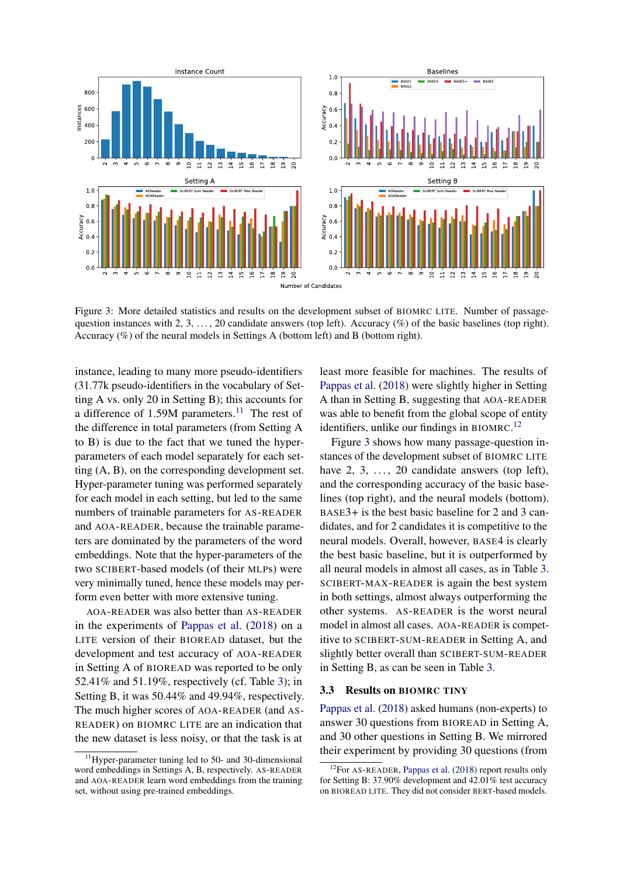<span id="page-5-2"></span>

Figure 3: More detailed statistics and results on the development subset of BIOMRC LITE. Number of passagequestion instances with 2, 3, ..., 20 candidate answers (top left). Accuracy (%) of the basic baselines (top right). Accuracy (%) of the neural models in Settings A (bottom left) and B (bottom right).

instance, leading to many more pseudo-identifiers (31.77k pseudo-identifiers in the vocabulary of Setting A vs. only 20 in Setting B); this accounts for a difference of 1.59M parameters.<sup>[11](#page-5-0)</sup> The rest of the difference in total parameters (from Setting A to B) is due to the fact that we tuned the hyperparameters of each model separately for each setting (A, B), on the corresponding development set. Hyper-parameter tuning was performed separately for each model in each setting, but led to the same numbers of trainable parameters for AS-READER and AOA-READER, because the trainable parameters are dominated by the parameters of the word embeddings. Note that the hyper-parameters of the two SCIBERT-based models (of their MLPs) were very minimally tuned, hence these models may perform even better with more extensive tuning.

AOA-READER was also better than AS-READER in the experiments of [Pappas et al.](#page-9-0) [\(2018\)](#page-9-0) on a LITE version of their BIOREAD dataset, but the development and test accuracy of AOA-READER in Setting A of BIOREAD was reported to be only 52.41% and 51.19%, respectively (cf. Table [3\)](#page-4-0); in Setting B, it was 50.44% and 49.94%, respectively. The much higher scores of AOA-READER (and AS-READER) on BIOMRC LITE are an indication that the new dataset is less noisy, or that the task is at

<span id="page-5-0"></span> $11$ Hyper-parameter tuning led to 50- and 30-dimensional word embeddings in Settings A, B, respectively. AS-READER and AOA-READER learn word embeddings from the training set, without using pre-trained embeddings.

least more feasible for machines. The results of [Pappas et al.](#page-9-0) [\(2018\)](#page-9-0) were slightly higher in Setting A than in Setting B, suggesting that AOA-READER was able to benefit from the global scope of entity identifiers, unlike our findings in BIOMRC.<sup>[12](#page-5-1)</sup>

Figure [3](#page-5-2) shows how many passage-question instances of the development subset of BIOMRC LITE have  $2, 3, \ldots, 20$  candidate answers (top left), and the corresponding accuracy of the basic baselines (top right), and the neural models (bottom). BASE3+ is the best basic baseline for 2 and 3 candidates, and for 2 candidates it is competitive to the neural models. Overall, however, BASE4 is clearly the best basic baseline, but it is outperformed by all neural models in almost all cases, as in Table [3.](#page-4-0) SCIBERT-MAX-READER is again the best system in both settings, almost always outperforming the other systems. AS-READER is the worst neural model in almost all cases. AOA-READER is competitive to SCIBERT-SUM-READER in Setting A, and slightly better overall than SCIBERT-SUM-READER in Setting B, as can be seen in Table [3.](#page-4-0)

### 3.3 Results on BIOMRC TINY

[Pappas et al.](#page-9-0) [\(2018\)](#page-9-0) asked humans (non-experts) to answer 30 questions from BIOREAD in Setting A, and 30 other questions in Setting B. We mirrored their experiment by providing 30 questions (from

<span id="page-5-1"></span><sup>&</sup>lt;sup>12</sup>For AS-READER, [Pappas et al.](#page-9-0) [\(2018\)](#page-9-0) report results only for Setting B: 37.90% development and 42.01% test accuracy on BIOREAD LITE. They did not consider BERT-based models.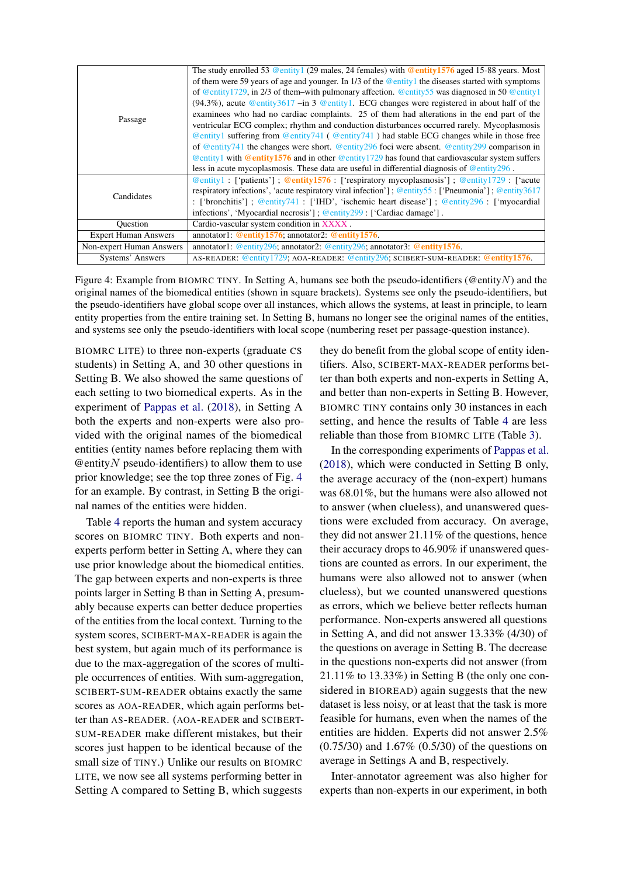<span id="page-6-0"></span>

| Passage                     | The study enrolled 53 @entity1 (29 males, 24 females) with @entity1576 aged 15-88 years. Most<br>of them were 59 years of age and younger. In $1/3$ of the @entity1 the diseases started with symptoms<br>of @entity1729, in 2/3 of them–with pulmonary affection. @entity55 was diagnosed in 50 @entity1<br>$(94.3\%)$ , acute @entity3617 -in 3 @entity1. ECG changes were registered in about half of the<br>examinees who had no cardiac complaints. 25 of them had alterations in the end part of the<br>ventricular ECG complex; rhythm and conduction disturbances occurred rarely. Mycoplasmosis<br>$\circledcirc$ entity 1 suffering from $\circledcirc$ entity 741 ( $\circledcirc$ entity 741) had stable ECG changes while in those free<br>of @entity741 the changes were short. @entity296 foci were absent. @entity299 comparison in<br>$\circledcirc$ entity 1 with $\circledcirc$ entity 1576 and in other $\circledcirc$ entity 1729 has found that cardiovascular system suffers<br>less in acute mycoplasmosis. These data are useful in differential diagnosis of $\omega$ entity 296. |
|-----------------------------|-------------------------------------------------------------------------------------------------------------------------------------------------------------------------------------------------------------------------------------------------------------------------------------------------------------------------------------------------------------------------------------------------------------------------------------------------------------------------------------------------------------------------------------------------------------------------------------------------------------------------------------------------------------------------------------------------------------------------------------------------------------------------------------------------------------------------------------------------------------------------------------------------------------------------------------------------------------------------------------------------------------------------------------------------------------------------------------------------------------|
| Candidates                  | $\textcircled{e}$ entity 1: ['patients']; <b>@entity1576</b> : ['respiratory mycoplasmosis']; @entity1729: ['acute<br>respiratory infections', 'acute respiratory viral infection']; @entity55: ['Pneumonia']; @entity3617<br>: ['bronchitis']; @entity741: ['IHD', 'ischemic heart disease']; @entity296: ['myocardial<br>infections', 'Myocardial necrosis']; $@$ entity 299 : ['Cardiac damage'].                                                                                                                                                                                                                                                                                                                                                                                                                                                                                                                                                                                                                                                                                                        |
| <b>Ouestion</b>             | Cardio-vascular system condition in XXXX.                                                                                                                                                                                                                                                                                                                                                                                                                                                                                                                                                                                                                                                                                                                                                                                                                                                                                                                                                                                                                                                                   |
| <b>Expert Human Answers</b> | annotator1: @entity1576; annotator2: @entity1576.                                                                                                                                                                                                                                                                                                                                                                                                                                                                                                                                                                                                                                                                                                                                                                                                                                                                                                                                                                                                                                                           |
| Non-expert Human Answers    | annotator1: @entity296, annotator2: @entity296; annotator3: @entity1576.                                                                                                                                                                                                                                                                                                                                                                                                                                                                                                                                                                                                                                                                                                                                                                                                                                                                                                                                                                                                                                    |
| Systems' Answers            | AS-READER: @entity1729; AOA-READER: @entity296; SCIBERT-SUM-READER: @entity1576.                                                                                                                                                                                                                                                                                                                                                                                                                                                                                                                                                                                                                                                                                                                                                                                                                                                                                                                                                                                                                            |

Figure 4: Example from BIOMRC TINY. In Setting A, humans see both the pseudo-identifiers (@entityN) and the original names of the biomedical entities (shown in square brackets). Systems see only the pseudo-identifiers, but the pseudo-identifiers have global scope over all instances, which allows the systems, at least in principle, to learn entity properties from the entire training set. In Setting B, humans no longer see the original names of the entities, and systems see only the pseudo-identifiers with local scope (numbering reset per passage-question instance).

BIOMRC LITE) to three non-experts (graduate CS students) in Setting A, and 30 other questions in Setting B. We also showed the same questions of each setting to two biomedical experts. As in the experiment of [Pappas et al.](#page-9-0) [\(2018\)](#page-9-0), in Setting A both the experts and non-experts were also provided with the original names of the biomedical entities (entity names before replacing them with  $\omega$ entity N pseudo-identifiers) to allow them to use prior knowledge; see the top three zones of Fig. [4](#page-6-0) for an example. By contrast, in Setting B the original names of the entities were hidden.

Table [4](#page-7-0) reports the human and system accuracy scores on BIOMRC TINY. Both experts and nonexperts perform better in Setting A, where they can use prior knowledge about the biomedical entities. The gap between experts and non-experts is three points larger in Setting B than in Setting A, presumably because experts can better deduce properties of the entities from the local context. Turning to the system scores, SCIBERT-MAX-READER is again the best system, but again much of its performance is due to the max-aggregation of the scores of multiple occurrences of entities. With sum-aggregation, SCIBERT-SUM-READER obtains exactly the same scores as AOA-READER, which again performs better than AS-READER. (AOA-READER and SCIBERT-SUM-READER make different mistakes, but their scores just happen to be identical because of the small size of TINY.) Unlike our results on BIOMRC LITE, we now see all systems performing better in Setting A compared to Setting B, which suggests

they do benefit from the global scope of entity identifiers. Also, SCIBERT-MAX-READER performs better than both experts and non-experts in Setting A, and better than non-experts in Setting B. However, BIOMRC TINY contains only 30 instances in each setting, and hence the results of Table [4](#page-7-0) are less reliable than those from BIOMRC LITE (Table [3\)](#page-4-0).

In the corresponding experiments of [Pappas et al.](#page-9-0) [\(2018\)](#page-9-0), which were conducted in Setting B only, the average accuracy of the (non-expert) humans was 68.01%, but the humans were also allowed not to answer (when clueless), and unanswered questions were excluded from accuracy. On average, they did not answer 21.11% of the questions, hence their accuracy drops to 46.90% if unanswered questions are counted as errors. In our experiment, the humans were also allowed not to answer (when clueless), but we counted unanswered questions as errors, which we believe better reflects human performance. Non-experts answered all questions in Setting A, and did not answer 13.33% (4/30) of the questions on average in Setting B. The decrease in the questions non-experts did not answer (from 21.11% to 13.33%) in Setting B (the only one considered in BIOREAD) again suggests that the new dataset is less noisy, or at least that the task is more feasible for humans, even when the names of the entities are hidden. Experts did not answer 2.5% (0.75/30) and 1.67% (0.5/30) of the questions on average in Settings A and B, respectively.

Inter-annotator agreement was also higher for experts than non-experts in our experiment, in both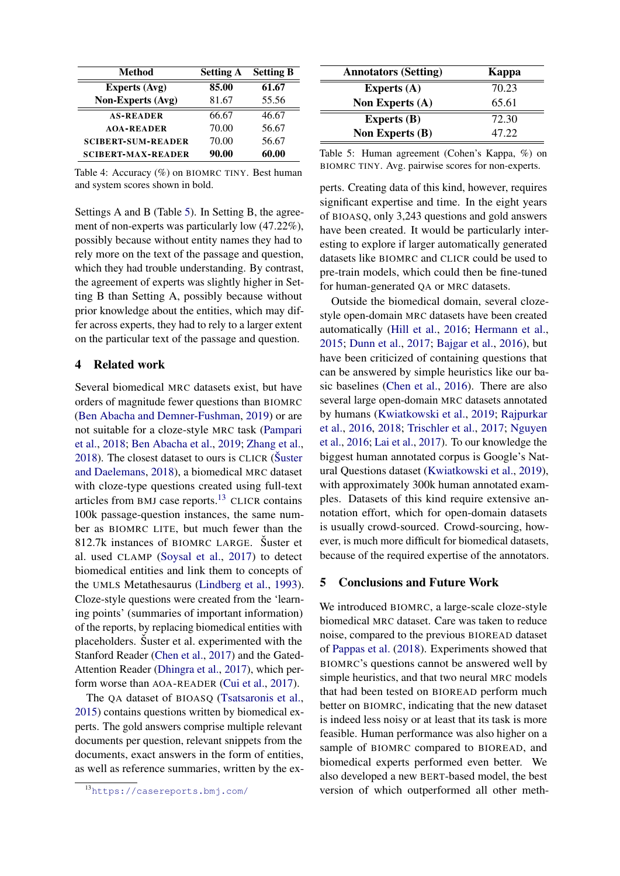<span id="page-7-0"></span>

| Method                    | <b>Setting A</b> | <b>Setting B</b> |
|---------------------------|------------------|------------------|
| <b>Experts (Avg)</b>      | 85.00            | 61.67            |
| <b>Non-Experts (Avg)</b>  | 81.67            | 55.56            |
| <b>AS-READER</b>          | 66.67            | 46.67            |
| <b>AOA-READER</b>         | 70.00            | 56.67            |
| <b>SCIBERT-SUM-READER</b> | 70.00            | 56.67            |
| <b>SCIBERT-MAX-READER</b> | 90.00            | 60.00            |

Table 4: Accuracy (%) on BIOMRC TINY. Best human and system scores shown in bold.

Settings A and B (Table [5\)](#page-7-1). In Setting B, the agreement of non-experts was particularly low (47.22%), possibly because without entity names they had to rely more on the text of the passage and question, which they had trouble understanding. By contrast, the agreement of experts was slightly higher in Setting B than Setting A, possibly because without prior knowledge about the entities, which may differ across experts, they had to rely to a larger extent on the particular text of the passage and question.

### 4 Related work

Several biomedical MRC datasets exist, but have orders of magnitude fewer questions than BIOMRC [\(Ben Abacha and Demner-Fushman,](#page-8-11) [2019\)](#page-8-11) or are not suitable for a cloze-style MRC task [\(Pampari](#page-9-8) [et al.,](#page-9-8) [2018;](#page-9-8) [Ben Abacha et al.,](#page-8-12) [2019;](#page-8-12) [Zhang et al.,](#page-9-9) [2018\)](#page-9-9). The closest dataset to ours is CLICR [\(Suster](#page-9-10) [and Daelemans,](#page-9-10) [2018\)](#page-9-10), a biomedical MRC dataset with cloze-type questions created using full-text articles from BMJ case reports.[13](#page-7-2) CLICR contains 100k passage-question instances, the same number as BIOMRC LITE, but much fewer than the 812.7k instances of BIOMRC LARGE. Suster et al. used CLAMP [\(Soysal et al.,](#page-9-11) [2017\)](#page-9-11) to detect biomedical entities and link them to concepts of the UMLS Metathesaurus [\(Lindberg et al.,](#page-9-12) [1993\)](#page-9-12). Cloze-style questions were created from the 'learning points' (summaries of important information) of the reports, by replacing biomedical entities with placeholders. Suster et al. experimented with the Stanford Reader [\(Chen et al.,](#page-8-13) [2017\)](#page-8-13) and the Gated-Attention Reader [\(Dhingra et al.,](#page-8-14) [2017\)](#page-8-14), which perform worse than AOA-READER [\(Cui et al.,](#page-8-5) [2017\)](#page-8-5).

The QA dataset of BIOASQ [\(Tsatsaronis et al.,](#page-9-5) [2015\)](#page-9-5) contains questions written by biomedical experts. The gold answers comprise multiple relevant documents per question, relevant snippets from the documents, exact answers in the form of entities, as well as reference summaries, written by the ex-

<span id="page-7-1"></span>

| <b>Annotators (Setting)</b> | Kappa |
|-----------------------------|-------|
| Experts $(A)$               | 70.23 |
| <b>Non Experts (A)</b>      | 65.61 |
| <b>Experts</b> (B)          | 72.30 |
| <b>Non Experts (B)</b>      | 47.22 |

Table 5: Human agreement (Cohen's Kappa, %) on BIOMRC TINY. Avg. pairwise scores for non-experts.

perts. Creating data of this kind, however, requires significant expertise and time. In the eight years of BIOASQ, only 3,243 questions and gold answers have been created. It would be particularly interesting to explore if larger automatically generated datasets like BIOMRC and CLICR could be used to pre-train models, which could then be fine-tuned for human-generated QA or MRC datasets.

Outside the biomedical domain, several clozestyle open-domain MRC datasets have been created automatically [\(Hill et al.,](#page-8-1) [2016;](#page-8-1) [Hermann et al.,](#page-8-0) [2015;](#page-8-0) [Dunn et al.,](#page-8-15) [2017;](#page-8-15) [Bajgar et al.,](#page-8-2) [2016\)](#page-8-2), but have been criticized of containing questions that can be answered by simple heuristics like our basic baselines [\(Chen et al.,](#page-8-7) [2016\)](#page-8-7). There are also several large open-domain MRC datasets annotated by humans [\(Kwiatkowski et al.,](#page-8-16) [2019;](#page-8-16) [Rajpurkar](#page-9-2) [et al.,](#page-9-2) [2016,](#page-9-2) [2018;](#page-9-3) [Trischler et al.,](#page-9-13) [2017;](#page-9-13) [Nguyen](#page-9-4) [et al.,](#page-9-4) [2016;](#page-9-4) [Lai et al.,](#page-9-14) [2017\)](#page-9-14). To our knowledge the biggest human annotated corpus is Google's Natural Questions dataset [\(Kwiatkowski et al.,](#page-8-16) [2019\)](#page-8-16), with approximately 300k human annotated examples. Datasets of this kind require extensive annotation effort, which for open-domain datasets is usually crowd-sourced. Crowd-sourcing, however, is much more difficult for biomedical datasets, because of the required expertise of the annotators.

## 5 Conclusions and Future Work

We introduced BIOMRC, a large-scale cloze-style biomedical MRC dataset. Care was taken to reduce noise, compared to the previous BIOREAD dataset of [Pappas et al.](#page-9-0) [\(2018\)](#page-9-0). Experiments showed that BIOMRC's questions cannot be answered well by simple heuristics, and that two neural MRC models that had been tested on BIOREAD perform much better on BIOMRC, indicating that the new dataset is indeed less noisy or at least that its task is more feasible. Human performance was also higher on a sample of BIOMRC compared to BIOREAD, and biomedical experts performed even better. We also developed a new BERT-based model, the best version of which outperformed all other meth-

<span id="page-7-2"></span><sup>13</sup><https://casereports.bmj.com/>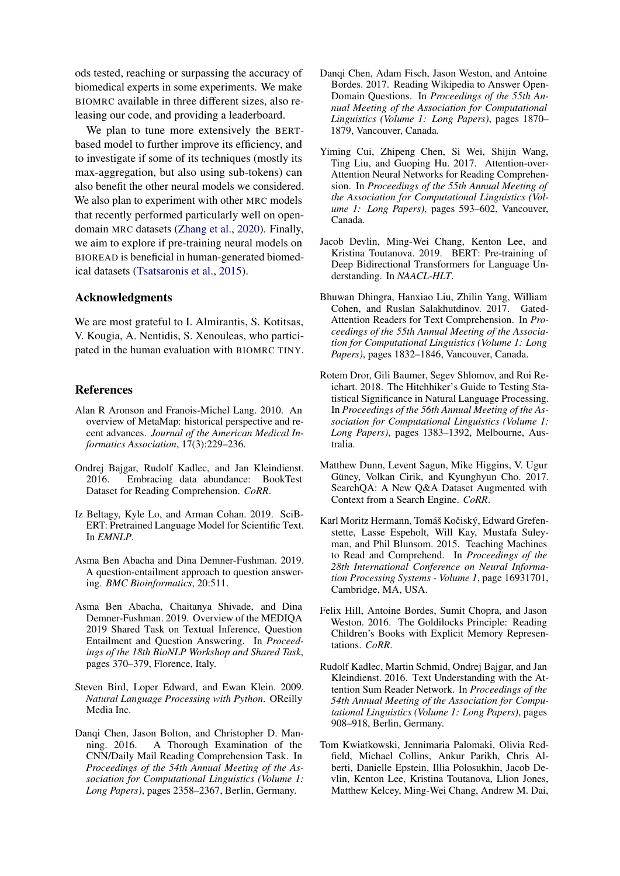ods tested, reaching or surpassing the accuracy of biomedical experts in some experiments. We make BIOMRC available in three different sizes, also releasing our code, and providing a leaderboard.

We plan to tune more extensively the BERTbased model to further improve its efficiency, and to investigate if some of its techniques (mostly its max-aggregation, but also using sub-tokens) can also benefit the other neural models we considered. We also plan to experiment with other MRC models that recently performed particularly well on opendomain MRC datasets [\(Zhang et al.,](#page-9-15) [2020\)](#page-9-15). Finally, we aim to explore if pre-training neural models on BIOREAD is beneficial in human-generated biomedical datasets [\(Tsatsaronis et al.,](#page-9-5) [2015\)](#page-9-5).

### Acknowledgments

We are most grateful to I. Almirantis, S. Kotitsas, V. Kougia, A. Nentidis, S. Xenouleas, who participated in the human evaluation with BIOMRC TINY.

### References

- <span id="page-8-3"></span>Alan R Aronson and Franois-Michel Lang. 2010. An overview of MetaMap: historical perspective and recent advances. *Journal of the American Medical Informatics Association*, 17(3):229–236.
- <span id="page-8-2"></span>Ondrej Bajgar, Rudolf Kadlec, and Jan Kleindienst. 2016. Embracing data abundance: BookTest Dataset for Reading Comprehension. *CoRR*.
- <span id="page-8-8"></span>Iz Beltagy, Kyle Lo, and Arman Cohan. 2019. SciB-ERT: Pretrained Language Model for Scientific Text. In *EMNLP*.
- <span id="page-8-11"></span>Asma Ben Abacha and Dina Demner-Fushman. 2019. A question-entailment approach to question answering. *BMC Bioinformatics*, 20:511.
- <span id="page-8-12"></span>Asma Ben Abacha, Chaitanya Shivade, and Dina Demner-Fushman. 2019. Overview of the MEDIQA 2019 Shared Task on Textual Inference, Question Entailment and Question Answering. In *Proceedings of the 18th BioNLP Workshop and Shared Task*, pages 370–379, Florence, Italy.
- <span id="page-8-9"></span>Steven Bird, Loper Edward, and Ewan Klein. 2009. *Natural Language Processing with Python*. OReilly Media Inc.
- <span id="page-8-7"></span>Danqi Chen, Jason Bolton, and Christopher D. Manning. 2016. A Thorough Examination of the CNN/Daily Mail Reading Comprehension Task. In *Proceedings of the 54th Annual Meeting of the Association for Computational Linguistics (Volume 1: Long Papers)*, pages 2358–2367, Berlin, Germany.
- <span id="page-8-13"></span>Dangi Chen, Adam Fisch, Jason Weston, and Antoine Bordes. 2017. Reading Wikipedia to Answer Open-Domain Questions. In *Proceedings of the 55th Annual Meeting of the Association for Computational Linguistics (Volume 1: Long Papers)*, pages 1870– 1879, Vancouver, Canada.
- <span id="page-8-5"></span>Yiming Cui, Zhipeng Chen, Si Wei, Shijin Wang, Ting Liu, and Guoping Hu. 2017. Attention-over-Attention Neural Networks for Reading Comprehension. In *Proceedings of the 55th Annual Meeting of the Association for Computational Linguistics (Volume 1: Long Papers)*, pages 593–602, Vancouver, Canada.
- <span id="page-8-6"></span>Jacob Devlin, Ming-Wei Chang, Kenton Lee, and Kristina Toutanova. 2019. BERT: Pre-training of Deep Bidirectional Transformers for Language Understanding. In *NAACL-HLT*.
- <span id="page-8-14"></span>Bhuwan Dhingra, Hanxiao Liu, Zhilin Yang, William Cohen, and Ruslan Salakhutdinov. 2017. Gated-Attention Readers for Text Comprehension. In *Proceedings of the 55th Annual Meeting of the Association for Computational Linguistics (Volume 1: Long Papers)*, pages 1832–1846, Vancouver, Canada.
- <span id="page-8-10"></span>Rotem Dror, Gili Baumer, Segev Shlomov, and Roi Reichart. 2018. The Hitchhiker's Guide to Testing Statistical Significance in Natural Language Processing. In *Proceedings of the 56th Annual Meeting of the Association for Computational Linguistics (Volume 1: Long Papers)*, pages 1383–1392, Melbourne, Australia.
- <span id="page-8-15"></span>Matthew Dunn, Levent Sagun, Mike Higgins, V. Ugur Güney, Volkan Cirik, and Kyunghyun Cho. 2017. SearchQA: A New Q&A Dataset Augmented with Context from a Search Engine. *CoRR*.
- <span id="page-8-0"></span>Karl Moritz Hermann, Tomáš Kočiský, Edward Grefenstette, Lasse Espeholt, Will Kay, Mustafa Suleyman, and Phil Blunsom. 2015. Teaching Machines to Read and Comprehend. In *Proceedings of the 28th International Conference on Neural Information Processing Systems - Volume 1*, page 16931701, Cambridge, MA, USA.
- <span id="page-8-1"></span>Felix Hill, Antoine Bordes, Sumit Chopra, and Jason Weston. 2016. The Goldilocks Principle: Reading Children's Books with Explicit Memory Representations. *CoRR*.
- <span id="page-8-4"></span>Rudolf Kadlec, Martin Schmid, Ondrej Bajgar, and Jan Kleindienst. 2016. Text Understanding with the Attention Sum Reader Network. In *Proceedings of the 54th Annual Meeting of the Association for Computational Linguistics (Volume 1: Long Papers)*, pages 908–918, Berlin, Germany.
- <span id="page-8-16"></span>Tom Kwiatkowski, Jennimaria Palomaki, Olivia Redfield, Michael Collins, Ankur Parikh, Chris Alberti, Danielle Epstein, Illia Polosukhin, Jacob Devlin, Kenton Lee, Kristina Toutanova, Llion Jones, Matthew Kelcey, Ming-Wei Chang, Andrew M. Dai,